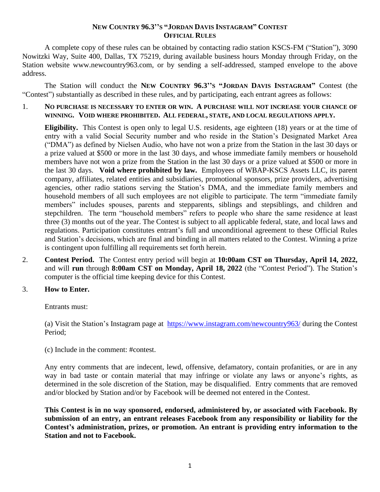## **NEW COUNTRY 96.3''S "JORDAN DAVIS INSTAGRAM" CONTEST OFFICIAL RULES**

A complete copy of these rules can be obtained by contacting radio station KSCS-FM ("Station"), 3090 Nowitzki Way, Suite 400, Dallas, TX 75219, during available business hours Monday through Friday, on the Station website www.newcountry963.com, or by sending a self-addressed, stamped envelope to the above address.

The Station will conduct the **NEW COUNTRY 96.3''S "JORDAN DAVIS INSTAGRAM"** Contest (the "Contest") substantially as described in these rules, and by participating, each entrant agrees as follows:

1. **NO PURCHASE IS NECESSARY TO ENTER OR WIN. A PURCHASE WILL NOT INCREASE YOUR CHANCE OF WINNING. VOID WHERE PROHIBITED. ALL FEDERAL, STATE, AND LOCAL REGULATIONS APPLY.**

**Eligibility.** This Contest is open only to legal U.S. residents, age eighteen (18) years or at the time of entry with a valid Social Security number and who reside in the Station's Designated Market Area ("DMA") as defined by Nielsen Audio, who have not won a prize from the Station in the last 30 days or a prize valued at \$500 or more in the last 30 days, and whose immediate family members or household members have not won a prize from the Station in the last 30 days or a prize valued at \$500 or more in the last 30 days. **Void where prohibited by law.** Employees of WBAP-KSCS Assets LLC, its parent company, affiliates, related entities and subsidiaries, promotional sponsors, prize providers, advertising agencies, other radio stations serving the Station's DMA, and the immediate family members and household members of all such employees are not eligible to participate. The term "immediate family members" includes spouses, parents and stepparents, siblings and stepsiblings, and children and stepchildren. The term "household members" refers to people who share the same residence at least three (3) months out of the year. The Contest is subject to all applicable federal, state, and local laws and regulations. Participation constitutes entrant's full and unconditional agreement to these Official Rules and Station's decisions, which are final and binding in all matters related to the Contest. Winning a prize is contingent upon fulfilling all requirements set forth herein.

2. **Contest Period.** The Contest entry period will begin at **10:00am CST on Thursday, April 14, 2022,** and will **run** through **8:00am CST on Monday, April 18, 2022** (the "Contest Period"). The Station's computer is the official time keeping device for this Contest.

## 3. **How to Enter.**

Entrants must:

(a) Visit the Station's Instagram page at <https://www.instagram.com/newcountry963/> during the Contest Period;

(c) Include in the comment: #contest.

Any entry comments that are indecent, lewd, offensive, defamatory, contain profanities, or are in any way in bad taste or contain material that may infringe or violate any laws or anyone's rights, as determined in the sole discretion of the Station, may be disqualified. Entry comments that are removed and/or blocked by Station and/or by Facebook will be deemed not entered in the Contest.

**This Contest is in no way sponsored, endorsed, administered by, or associated with Facebook. By submission of an entry, an entrant releases Facebook from any responsibility or liability for the Contest's administration, prizes, or promotion. An entrant is providing entry information to the Station and not to Facebook.**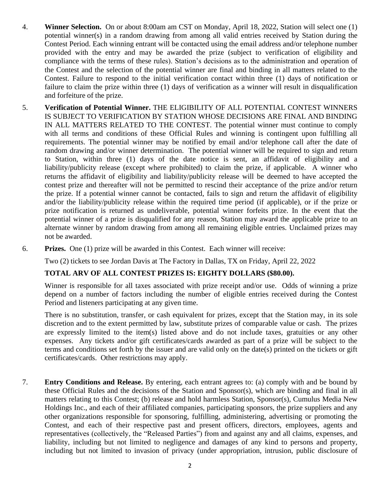- 4. **Winner Selection.** On or about 8:00am am CST on Monday, April 18, 2022, Station will select one (1) potential winner(s) in a random drawing from among all valid entries received by Station during the Contest Period. Each winning entrant will be contacted using the email address and/or telephone number provided with the entry and may be awarded the prize (subject to verification of eligibility and compliance with the terms of these rules). Station's decisions as to the administration and operation of the Contest and the selection of the potential winner are final and binding in all matters related to the Contest. Failure to respond to the initial verification contact within three (1) days of notification or failure to claim the prize within three (1) days of verification as a winner will result in disqualification and forfeiture of the prize.
- 5. **Verification of Potential Winner.** THE ELIGIBILITY OF ALL POTENTIAL CONTEST WINNERS IS SUBJECT TO VERIFICATION BY STATION WHOSE DECISIONS ARE FINAL AND BINDING IN ALL MATTERS RELATED TO THE CONTEST. The potential winner must continue to comply with all terms and conditions of these Official Rules and winning is contingent upon fulfilling all requirements. The potential winner may be notified by email and/or telephone call after the date of random drawing and/or winner determination. The potential winner will be required to sign and return to Station, within three (1) days of the date notice is sent, an affidavit of eligibility and a liability/publicity release (except where prohibited) to claim the prize, if applicable. A winner who returns the affidavit of eligibility and liability/publicity release will be deemed to have accepted the contest prize and thereafter will not be permitted to rescind their acceptance of the prize and/or return the prize. If a potential winner cannot be contacted, fails to sign and return the affidavit of eligibility and/or the liability/publicity release within the required time period (if applicable), or if the prize or prize notification is returned as undeliverable, potential winner forfeits prize. In the event that the potential winner of a prize is disqualified for any reason, Station may award the applicable prize to an alternate winner by random drawing from among all remaining eligible entries. Unclaimed prizes may not be awarded.
- 6. **Prizes.** One (1) prize will be awarded in this Contest. Each winner will receive:

Two (2) tickets to see Jordan Davis at The Factory in Dallas, TX on Friday, April 22, 2022

## **TOTAL ARV OF ALL CONTEST PRIZES IS: EIGHTY DOLLARS (\$80.00).**

Winner is responsible for all taxes associated with prize receipt and/or use. Odds of winning a prize depend on a number of factors including the number of eligible entries received during the Contest Period and listeners participating at any given time.

There is no substitution, transfer, or cash equivalent for prizes, except that the Station may, in its sole discretion and to the extent permitted by law, substitute prizes of comparable value or cash. The prizes are expressly limited to the item(s) listed above and do not include taxes, gratuities or any other expenses. Any tickets and/or gift certificates/cards awarded as part of a prize will be subject to the terms and conditions set forth by the issuer and are valid only on the date(s) printed on the tickets or gift certificates/cards. Other restrictions may apply.

7. **Entry Conditions and Release.** By entering, each entrant agrees to: (a) comply with and be bound by these Official Rules and the decisions of the Station and Sponsor(s), which are binding and final in all matters relating to this Contest; (b) release and hold harmless Station, Sponsor(s), Cumulus Media New Holdings Inc., and each of their affiliated companies, participating sponsors, the prize suppliers and any other organizations responsible for sponsoring, fulfilling, administering, advertising or promoting the Contest, and each of their respective past and present officers, directors, employees, agents and representatives (collectively, the "Released Parties") from and against any and all claims, expenses, and liability, including but not limited to negligence and damages of any kind to persons and property, including but not limited to invasion of privacy (under appropriation, intrusion, public disclosure of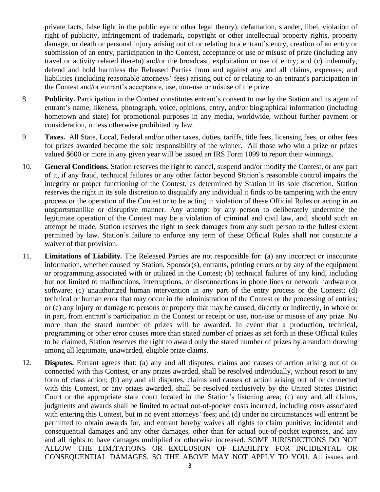private facts, false light in the public eye or other legal theory), defamation, slander, libel, violation of right of publicity, infringement of trademark, copyright or other intellectual property rights, property damage, or death or personal injury arising out of or relating to a entrant's entry, creation of an entry or submission of an entry, participation in the Contest, acceptance or use or misuse of prize (including any travel or activity related thereto) and/or the broadcast, exploitation or use of entry; and (c) indemnify, defend and hold harmless the Released Parties from and against any and all claims, expenses, and liabilities (including reasonable attorneys' fees) arising out of or relating to an entrant's participation in the Contest and/or entrant's acceptance, use, non-use or misuse of the prize.

- 8. **Publicity.** Participation in the Contest constitutes entrant's consent to use by the Station and its agent of entrant's name, likeness, photograph, voice, opinions, entry, and/or biographical information (including hometown and state) for promotional purposes in any media, worldwide, without further payment or consideration, unless otherwise prohibited by law.
- 9. **Taxes.** All State, Local, Federal and/or other taxes, duties, tariffs, title fees, licensing fees, or other fees for prizes awarded become the sole responsibility of the winner. All those who win a prize or prizes valued \$600 or more in any given year will be issued an IRS Form 1099 to report their winnings.
- 10. **General Conditions.** Station reserves the right to cancel, suspend and/or modify the Contest, or any part of it, if any fraud, technical failures or any other factor beyond Station's reasonable control impairs the integrity or proper functioning of the Contest, as determined by Station in its sole discretion. Station reserves the right in its sole discretion to disqualify any individual it finds to be tampering with the entry process or the operation of the Contest or to be acting in violation of these Official Rules or acting in an unsportsmanlike or disruptive manner. Any attempt by any person to deliberately undermine the legitimate operation of the Contest may be a violation of criminal and civil law, and, should such an attempt be made, Station reserves the right to seek damages from any such person to the fullest extent permitted by law. Station's failure to enforce any term of these Official Rules shall not constitute a waiver of that provision.
- 11. **Limitations of Liability.** The Released Parties are not responsible for: (a) any incorrect or inaccurate information, whether caused by Station, Sponsor(s), entrants, printing errors or by any of the equipment or programming associated with or utilized in the Contest; (b) technical failures of any kind, including but not limited to malfunctions, interruptions, or disconnections in phone lines or network hardware or software; (c) unauthorized human intervention in any part of the entry process or the Contest; (d) technical or human error that may occur in the administration of the Contest or the processing of entries; or (e) any injury or damage to persons or property that may be caused, directly or indirectly, in whole or in part, from entrant's participation in the Contest or receipt or use, non-use or misuse of any prize. No more than the stated number of prizes will be awarded. In event that a production, technical, programming or other error causes more than stated number of prizes as set forth in these Official Rules to be claimed, Station reserves the right to award only the stated number of prizes by a random drawing among all legitimate, unawarded, eligible prize claims.
- 12. **Disputes.** Entrant agrees that: (a) any and all disputes, claims and causes of action arising out of or connected with this Contest, or any prizes awarded, shall be resolved individually, without resort to any form of class action; (b) any and all disputes, claims and causes of action arising out of or connected with this Contest, or any prizes awarded, shall be resolved exclusively by the United States District Court or the appropriate state court located in the Station's listening area; (c) any and all claims, judgments and awards shall be limited to actual out-of-pocket costs incurred, including costs associated with entering this Contest, but in no event attorneys' fees; and (d) under no circumstances will entrant be permitted to obtain awards for, and entrant hereby waives all rights to claim punitive, incidental and consequential damages and any other damages, other than for actual out-of-pocket expenses, and any and all rights to have damages multiplied or otherwise increased. SOME JURISDICTIONS DO NOT ALLOW THE LIMITATIONS OR EXCLUSION OF LIABILITY FOR INCIDENTAL OR CONSEQUENTIAL DAMAGES, SO THE ABOVE MAY NOT APPLY TO YOU. All issues and